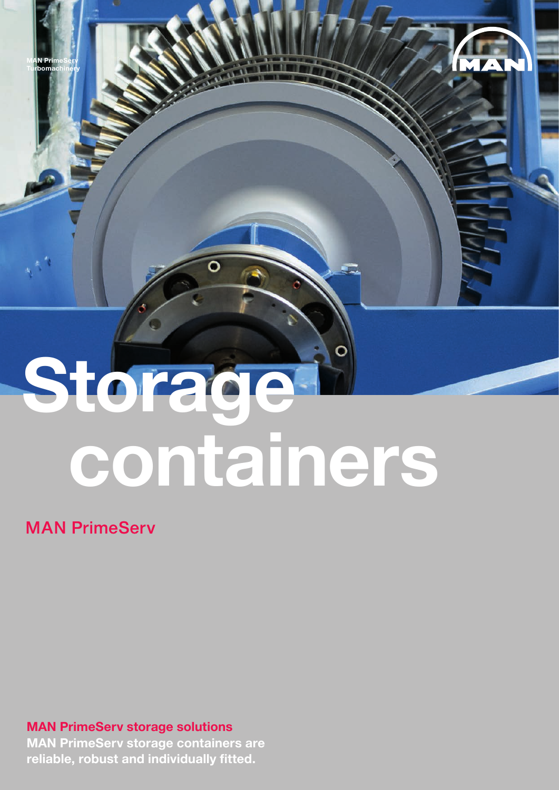# **Storage containers**

VAN

## **MAN PrimeServ**

**MAN PrimeServ Turbomachinery**

### **MAN PrimeServ storage solutions**

**MAN PrimeServ storage containers are reliable, robust and individually fitted.**